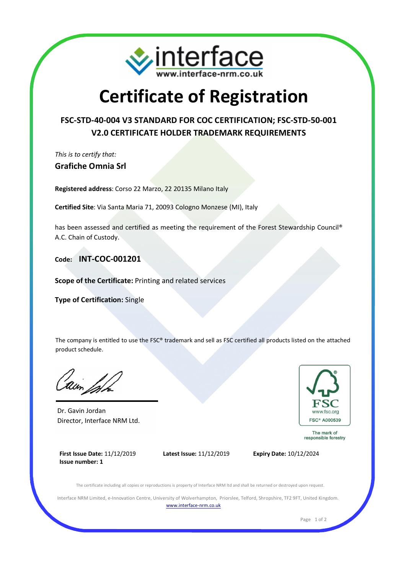

## Certificate of Registration

## FSC-STD-40-004 V3 STANDARD FOR COC CERTIFICATION; FSC-STD-50-001 V2.0 CERTIFICATE HOLDER TRADEMARK REQUIREMENTS

This is to certify that: Grafiche Omnia Srl

Registered address: Corso 22 Marzo, 22 20135 Milano Italy

Certified Site: Via Santa Maria 71, 20093 Cologno Monzese (MI), Italy

has been assessed and certified as meeting the requirement of the Forest Stewardship Council® A.C. Chain of Custody.

Code: INT-COC-001201

Scope of the Certificate: Printing and related services

Type of Certification: Single

The company is entitled to use the FSC® trademark and sell as FSC certified all products listed on the attached product schedule.

Dr. Gavin Jordan Director, Interface NRM Ltd.



The mark of<br>responsible forestry

First Issue Date: 11/12/2019 Issue number: 1





The certificate including all copies or reproductions is property of Interface NRM ltd and shall be returned or destroyed upon request.

Interface NRM Limited, e-Innovation Centre, University of Wolverhampton, Priorslee, Telford, Shropshire, TF2 9FT, United Kingdom. www.interface-nrm.co.uk

Page 1 of 2